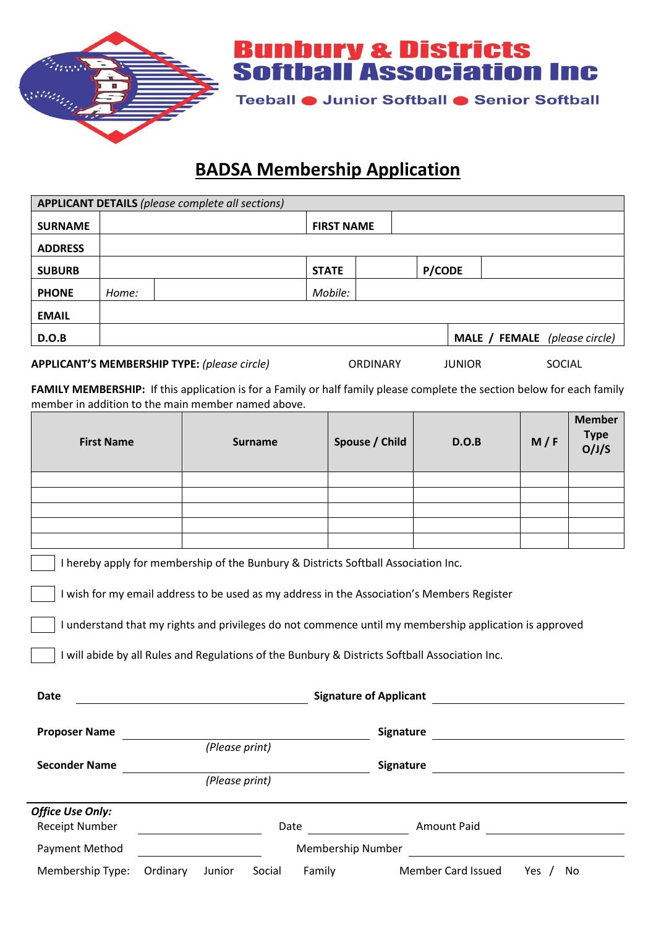

**Bunbury & Districts<br>Softball Association Inc** 

Teeball ● Junior Softball ● Senior Softball

## **BADSA Membership Application**

| <b>APPLICANT DETAILS (please complete all sections)</b>                                    |       |  |                   |               |  |  |                               |
|--------------------------------------------------------------------------------------------|-------|--|-------------------|---------------|--|--|-------------------------------|
| <b>SURNAME</b>                                                                             |       |  | <b>FIRST NAME</b> |               |  |  |                               |
| <b>ADDRESS</b>                                                                             |       |  |                   |               |  |  |                               |
| <b>SUBURB</b>                                                                              |       |  | <b>STATE</b>      | <b>P/CODE</b> |  |  |                               |
| <b>PHONE</b>                                                                               | Home: |  | Mobile:           |               |  |  |                               |
| <b>EMAIL</b>                                                                               |       |  |                   |               |  |  |                               |
| D.O.B                                                                                      |       |  |                   |               |  |  | MALE / FEMALE (please circle) |
| <b>APPLICANT'S MEMBERSHIP TYPE:</b> (please circle)<br>ORDINARY<br><b>JUNIOR</b><br>SOCIAL |       |  |                   |               |  |  |                               |

**FAMILY MEMBERSHIP:** If this application is for a Family or half family please complete the section below for each family member in addition to the main member named above.

| <b>First Name</b>       |                                                     |        | <b>Surname</b> |        | Spouse / Child                                                                     | D.O.B                                                                                                                                                                                                                                                                                                  | M/F | <b>Member</b><br><b>Type</b><br>O/J/S |
|-------------------------|-----------------------------------------------------|--------|----------------|--------|------------------------------------------------------------------------------------|--------------------------------------------------------------------------------------------------------------------------------------------------------------------------------------------------------------------------------------------------------------------------------------------------------|-----|---------------------------------------|
|                         |                                                     |        |                |        |                                                                                    |                                                                                                                                                                                                                                                                                                        |     |                                       |
|                         |                                                     |        |                |        |                                                                                    |                                                                                                                                                                                                                                                                                                        |     |                                       |
|                         |                                                     |        |                |        |                                                                                    |                                                                                                                                                                                                                                                                                                        |     |                                       |
|                         |                                                     |        |                |        |                                                                                    |                                                                                                                                                                                                                                                                                                        |     |                                       |
|                         |                                                     |        |                |        |                                                                                    |                                                                                                                                                                                                                                                                                                        |     |                                       |
|                         |                                                     |        |                |        | I hereby apply for membership of the Bunbury & Districts Softball Association Inc. |                                                                                                                                                                                                                                                                                                        |     |                                       |
| Date                    | <u> 1980 - Johann Barbara, martxa eta politikar</u> |        |                |        | <b>Signature of Applicant</b>                                                      | I wish for my email address to be used as my address in the Association's Members Register<br>I understand that my rights and privileges do not commence until my membership application is approved<br>I will abide by all Rules and Regulations of the Bunbury & Districts Softball Association Inc. |     |                                       |
|                         |                                                     |        |                |        |                                                                                    |                                                                                                                                                                                                                                                                                                        |     |                                       |
| <b>Proposer Name</b>    |                                                     |        |                |        | Signature                                                                          | <u> 1980 - Jan Samuel Barbara, martin d</u>                                                                                                                                                                                                                                                            |     |                                       |
|                         | (Please print)                                      |        |                |        |                                                                                    |                                                                                                                                                                                                                                                                                                        |     |                                       |
| <b>Seconder Name</b>    |                                                     |        |                |        | Signature                                                                          | <u> 1989 - Johann Barnett, fransk konge</u>                                                                                                                                                                                                                                                            |     |                                       |
|                         | (Please print)                                      |        |                |        |                                                                                    |                                                                                                                                                                                                                                                                                                        |     |                                       |
| <b>Office Use Only:</b> |                                                     |        |                |        |                                                                                    |                                                                                                                                                                                                                                                                                                        |     |                                       |
| <b>Receipt Number</b>   |                                                     |        |                | Date   |                                                                                    | Amount Paid                                                                                                                                                                                                                                                                                            |     |                                       |
| Payment Method          | <b>Membership Number</b>                            |        |                |        |                                                                                    |                                                                                                                                                                                                                                                                                                        |     |                                       |
| Membership Type:        | Ordinary                                            | Junior | Social         | Family |                                                                                    | Member Card Issued                                                                                                                                                                                                                                                                                     | Yes | No                                    |